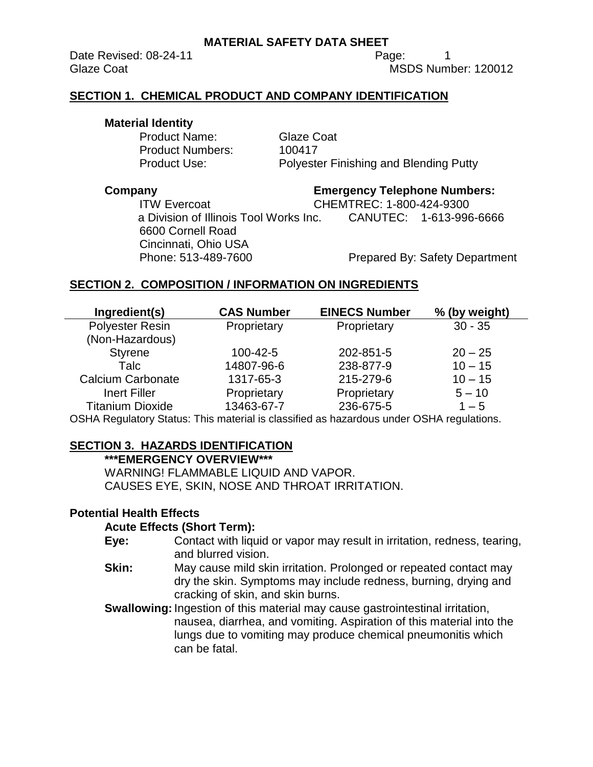Date Revised: 08-24-11 **Page:** 1

Glaze Coat **MSDS** Number: 120012

## **SECTION 1. CHEMICAL PRODUCT AND COMPANY IDENTIFICATION**

## **Material Identity**

Product Name: Glaze Coat Product Numbers: 100417

Product Use: Polyester Finishing and Blending Putty

**Company Emergency Telephone Numbers:**

ITW Evercoat CHEMTREC: 1-800-424-9300 a Division of Illinois Tool Works Inc. CANUTEC: 1-613-996-6666 6600 Cornell Road Cincinnati, Ohio USA

Phone: 513-489-7600 Prepared By: Safety Department

# **SECTION 2. COMPOSITION / INFORMATION ON INGREDIENTS**

| Ingredient(s)            | <b>CAS Number</b> | <b>EINECS Number</b> | % (by weight) |
|--------------------------|-------------------|----------------------|---------------|
| <b>Polyester Resin</b>   | Proprietary       | Proprietary          | $30 - 35$     |
| (Non-Hazardous)          |                   |                      |               |
| <b>Styrene</b>           | 100-42-5          | 202-851-5            | $20 - 25$     |
| Talc                     | 14807-96-6        | 238-877-9            | $10 - 15$     |
| <b>Calcium Carbonate</b> | 1317-65-3         | 215-279-6            | $10 - 15$     |
| <b>Inert Filler</b>      | Proprietary       | Proprietary          | $5 - 10$      |
| <b>Titanium Dioxide</b>  | 13463-67-7        | 236-675-5            | $1 - 5$       |
|                          |                   |                      |               |

OSHA Regulatory Status: This material is classified as hazardous under OSHA regulations.

# **SECTION 3. HAZARDS IDENTIFICATION**

## **\*\*\*EMERGENCY OVERVIEW\*\*\***

WARNING! FLAMMABLE LIQUID AND VAPOR. CAUSES EYE, SKIN, NOSE AND THROAT IRRITATION.

## **Potential Health Effects**

## **Acute Effects (Short Term):**

- **Eye:** Contact with liquid or vapor may result in irritation, redness, tearing, and blurred vision.
- **Skin:** May cause mild skin irritation. Prolonged or repeated contact may dry the skin. Symptoms may include redness, burning, drying and cracking of skin, and skin burns.

**Swallowing:** Ingestion of this material may cause gastrointestinal irritation, nausea, diarrhea, and vomiting. Aspiration of this material into the lungs due to vomiting may produce chemical pneumonitis which can be fatal.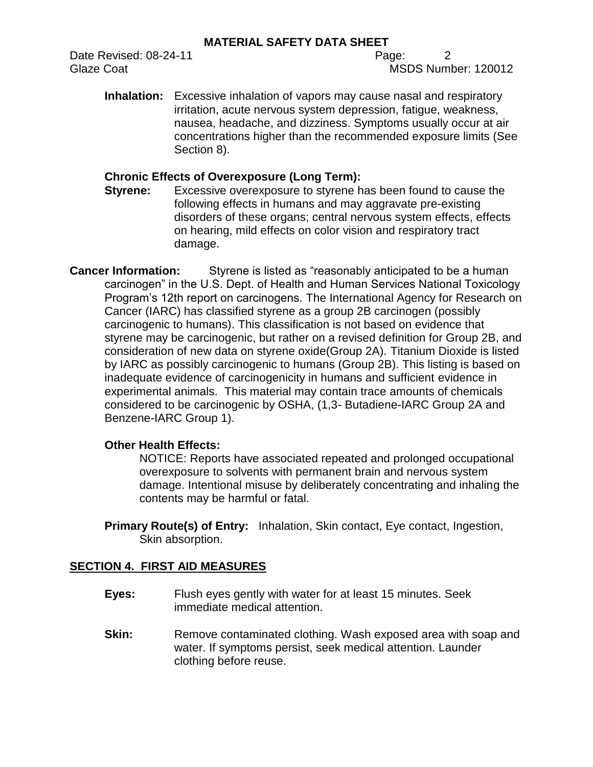Date Revised: 08-24-11 Page: 2

Glaze Coat **MSDS** Number: 120012

**Inhalation:** Excessive inhalation of vapors may cause nasal and respiratory irritation, acute nervous system depression, fatigue, weakness, nausea, headache, and dizziness. Symptoms usually occur at air concentrations higher than the recommended exposure limits (See Section 8).

# **Chronic Effects of Overexposure (Long Term):**

**Styrene:** Excessive overexposure to styrene has been found to cause the following effects in humans and may aggravate pre-existing disorders of these organs; central nervous system effects, effects on hearing, mild effects on color vision and respiratory tract damage.

**Cancer Information:** Styrene is listed as "reasonably anticipated to be a human carcinogen" in the U.S. Dept. of Health and Human Services National Toxicology Program's 12th report on carcinogens. The International Agency for Research on Cancer (IARC) has classified styrene as a group 2B carcinogen (possibly carcinogenic to humans). This classification is not based on evidence that styrene may be carcinogenic, but rather on a revised definition for Group 2B, and consideration of new data on styrene oxide(Group 2A). Titanium Dioxide is listed by IARC as possibly carcinogenic to humans (Group 2B). This listing is based on inadequate evidence of carcinogenicity in humans and sufficient evidence in experimental animals. This material may contain trace amounts of chemicals considered to be carcinogenic by OSHA, (1,3- Butadiene-IARC Group 2A and Benzene-IARC Group 1).

# **Other Health Effects:**

NOTICE: Reports have associated repeated and prolonged occupational overexposure to solvents with permanent brain and nervous system damage. Intentional misuse by deliberately concentrating and inhaling the contents may be harmful or fatal.

**Primary Route(s) of Entry:** Inhalation, Skin contact, Eye contact, Ingestion, Skin absorption.

# **SECTION 4. FIRST AID MEASURES**

- **Eyes:** Flush eyes gently with water for at least 15 minutes. Seek immediate medical attention.
- **Skin:** Remove contaminated clothing. Wash exposed area with soap and water. If symptoms persist, seek medical attention. Launder clothing before reuse.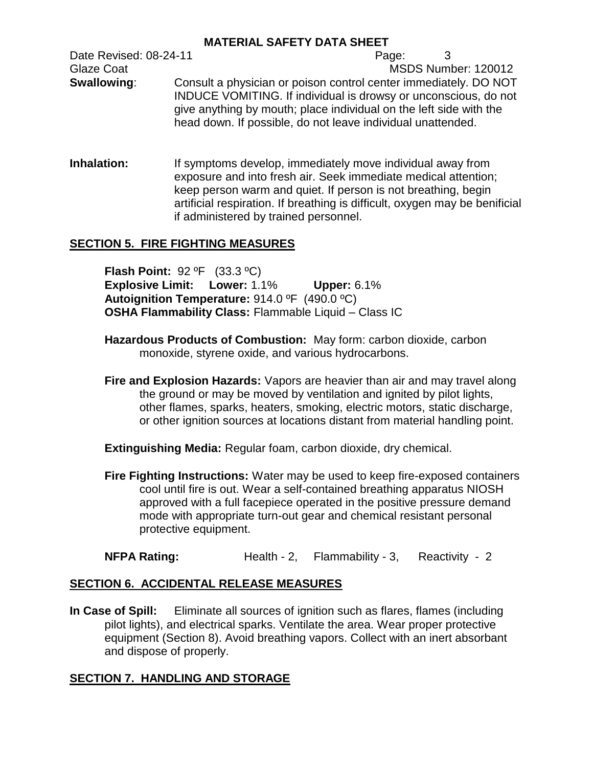Date Revised: 08-24-11 **Page:** 3 Glaze Coat **MSDS** Number: 120012 **Swallowing:** Consult a physician or poison control center immediately. DO NOT INDUCE VOMITING. If individual is drowsy or unconscious, do not give anything by mouth; place individual on the left side with the head down. If possible, do not leave individual unattended.

**Inhalation:** If symptoms develop, immediately move individual away from exposure and into fresh air. Seek immediate medical attention; keep person warm and quiet. If person is not breathing, begin artificial respiration. If breathing is difficult, oxygen may be benificial if administered by trained personnel.

# **SECTION 5. FIRE FIGHTING MEASURES**

**Flash Point:** 92 ºF (33.3 ºC) **Explosive Limit: Lower:** 1.1% **Upper:** 6.1% **Autoignition Temperature:** 914.0 ºF (490.0 ºC) **OSHA Flammability Class:** Flammable Liquid – Class IC

- **Hazardous Products of Combustion:** May form: carbon dioxide, carbon monoxide, styrene oxide, and various hydrocarbons.
- **Fire and Explosion Hazards:** Vapors are heavier than air and may travel along the ground or may be moved by ventilation and ignited by pilot lights, other flames, sparks, heaters, smoking, electric motors, static discharge, or other ignition sources at locations distant from material handling point.

**Extinguishing Media:** Regular foam, carbon dioxide, dry chemical.

**Fire Fighting Instructions:** Water may be used to keep fire-exposed containers cool until fire is out. Wear a self-contained breathing apparatus NIOSH approved with a full facepiece operated in the positive pressure demand mode with appropriate turn-out gear and chemical resistant personal protective equipment.

**NFPA Rating:** Health - 2, Flammability - 3, Reactivity - 2

# **SECTION 6. ACCIDENTAL RELEASE MEASURES**

**In Case of Spill:** Eliminate all sources of ignition such as flares, flames (including pilot lights), and electrical sparks. Ventilate the area. Wear proper protective equipment (Section 8). Avoid breathing vapors. Collect with an inert absorbant and dispose of properly.

# **SECTION 7. HANDLING AND STORAGE**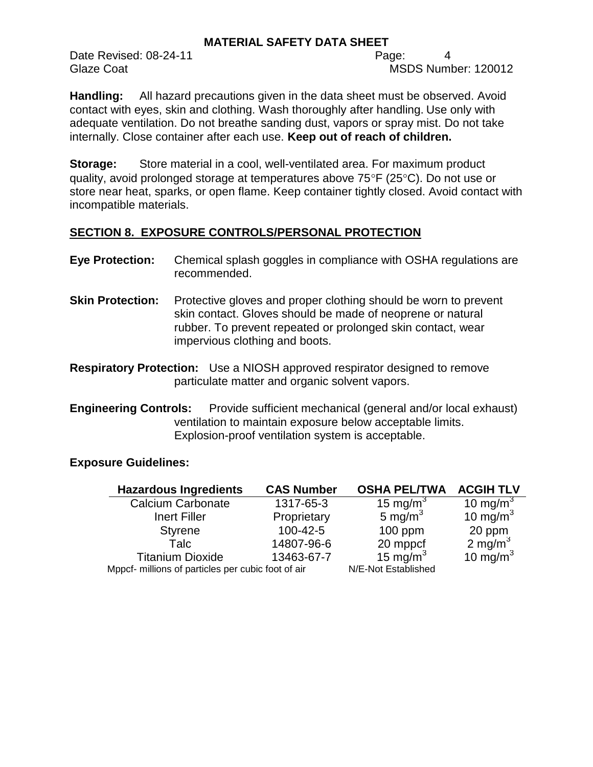Date Revised: 08-24-11 Page: 4

Glaze Coat **MSDS** Number: 120012

**Handling:** All hazard precautions given in the data sheet must be observed. Avoid contact with eyes, skin and clothing. Wash thoroughly after handling. Use only with adequate ventilation. Do not breathe sanding dust, vapors or spray mist. Do not take internally. Close container after each use. **Keep out of reach of children.**

**Storage:** Store material in a cool, well-ventilated area. For maximum product quality, avoid prolonged storage at temperatures above  $75^{\circ}F$  (25 $^{\circ}C$ ). Do not use or store near heat, sparks, or open flame. Keep container tightly closed. Avoid contact with incompatible materials.

# **SECTION 8. EXPOSURE CONTROLS/PERSONAL PROTECTION**

| <b>Eye Protection:</b>  | Chemical splash goggles in compliance with OSHA regulations are<br>recommended. |
|-------------------------|---------------------------------------------------------------------------------|
| <b>Skin Protection:</b> | Protective gloves and proper clothing should be worn to prevent                 |

- skin contact. Gloves should be made of neoprene or natural rubber. To prevent repeated or prolonged skin contact, wear impervious clothing and boots.
- **Respiratory Protection:** Use a NIOSH approved respirator designed to remove particulate matter and organic solvent vapors.
- **Engineering Controls:** Provide sufficient mechanical (general and/or local exhaust) ventilation to maintain exposure below acceptable limits. Explosion-proof ventilation system is acceptable.

# **Exposure Guidelines:**

| <b>Hazardous Ingredients</b>                       | <b>CAS Number</b> | <b>OSHA PEL/TWA</b>  | <b>ACGIH TLV</b>     |
|----------------------------------------------------|-------------------|----------------------|----------------------|
| <b>Calcium Carbonate</b>                           | 1317-65-3         | 15 mg/m <sup>3</sup> | 10 mg/m <sup>3</sup> |
| <b>Inert Filler</b>                                | Proprietary       | 5 mg/m $^3$          | 10 mg/m $3$          |
| <b>Styrene</b>                                     | 100-42-5          | $100$ ppm            | 20 ppm               |
| Talc                                               | 14807-96-6        | 20 mppcf             | 2 mg/m $3$           |
| <b>Titanium Dioxide</b>                            | 13463-67-7        | 15 mg/m $3$          | 10 mg/m $3$          |
| Mppcf- millions of particles per cubic foot of air |                   | N/E-Not Established  |                      |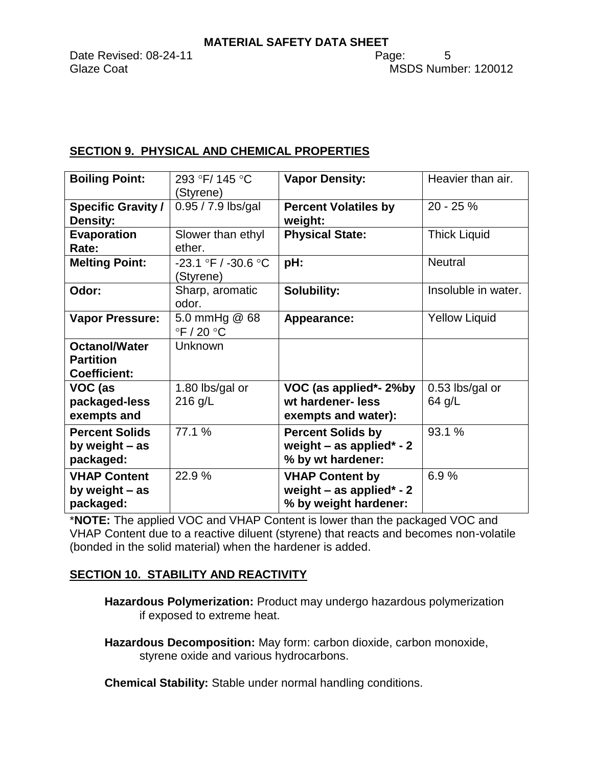Date Revised: 08-24-11 **Page:** 5

# **SECTION 9. PHYSICAL AND CHEMICAL PROPERTIES**

| <b>Boiling Point:</b>     | 293 °F/145 °C                                 | <b>Vapor Density:</b>       | Heavier than air.    |
|---------------------------|-----------------------------------------------|-----------------------------|----------------------|
|                           | (Styrene)                                     |                             |                      |
| <b>Specific Gravity /</b> | $0.95 / 7.9$ lbs/gal                          | <b>Percent Volatiles by</b> | $20 - 25%$           |
| <b>Density:</b>           |                                               | weight:                     |                      |
| <b>Evaporation</b>        | Slower than ethyl                             | <b>Physical State:</b>      | <b>Thick Liquid</b>  |
| Rate:                     | ether.                                        |                             |                      |
| <b>Melting Point:</b>     | $-23.1$ °F / $-30.6$ °C<br>(Styrene)          | pH:                         | <b>Neutral</b>       |
| Odor:                     | Sharp, aromatic<br>odor.                      | <b>Solubility:</b>          | Insoluble in water.  |
| <b>Vapor Pressure:</b>    | 5.0 mmHg @ 68<br>$\degree$ F / 20 $\degree$ C | Appearance:                 | <b>Yellow Liquid</b> |
| <b>Octanol/Water</b>      | Unknown                                       |                             |                      |
| <b>Partition</b>          |                                               |                             |                      |
| <b>Coefficient:</b>       |                                               |                             |                      |
| VOC (as                   | 1.80 lbs/gal or                               | VOC (as applied*- 2%by      | 0.53 lbs/gal or      |
| packaged-less             | $216$ g/L                                     | wt hardener- less           | 64 g/L               |
| exempts and               |                                               | exempts and water):         |                      |
| <b>Percent Solids</b>     | 77.1 %                                        | <b>Percent Solids by</b>    | 93.1 %               |
| by weight $-$ as          |                                               | weight $-$ as applied* - 2  |                      |
| packaged:                 |                                               | % by wt hardener:           |                      |
| <b>VHAP Content</b>       | 22.9%                                         | <b>VHAP Content by</b>      | 6.9%                 |
| by weight - as            |                                               | weight $-$ as applied* - 2  |                      |
| packaged:                 |                                               | % by weight hardener:       |                      |

\***NOTE:** The applied VOC and VHAP Content is lower than the packaged VOC and VHAP Content due to a reactive diluent (styrene) that reacts and becomes non-volatile (bonded in the solid material) when the hardener is added.

# **SECTION 10. STABILITY AND REACTIVITY**

**Hazardous Polymerization:** Product may undergo hazardous polymerization if exposed to extreme heat.

**Hazardous Decomposition:** May form: carbon dioxide, carbon monoxide, styrene oxide and various hydrocarbons.

**Chemical Stability:** Stable under normal handling conditions.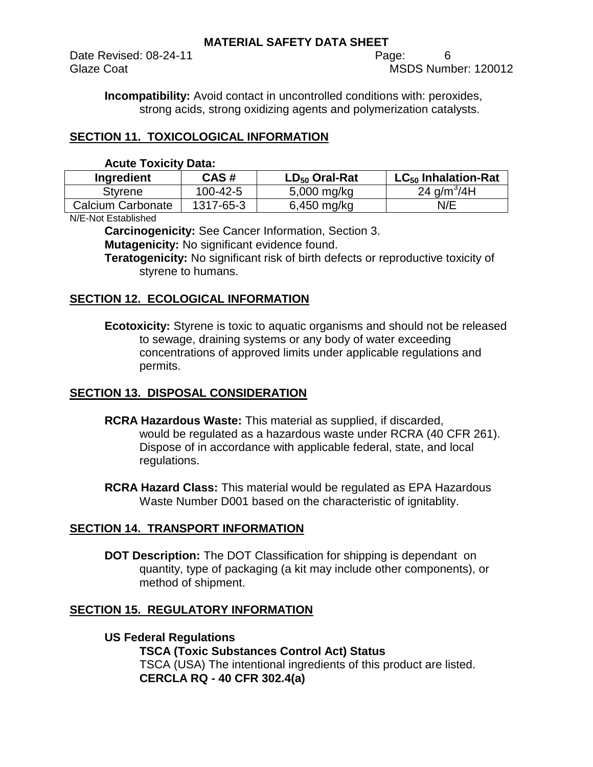Date Revised: 08-24-11 **Page:** 6

Glaze Coat **MSDS** Number: 120012

**Incompatibility:** Avoid contact in uncontrolled conditions with: peroxides, strong acids, strong oxidizing agents and polymerization catalysts.

# **SECTION 11. TOXICOLOGICAL INFORMATION**

| <b>Acute Toxicity Data:</b> |  |  |
|-----------------------------|--|--|
|                             |  |  |

| Ingredient        | CAS#      | $LD_{50}$ Oral-Rat | $LC_{50}$ Inhalation-Rat |
|-------------------|-----------|--------------------|--------------------------|
| Styrene           | 100-42-5  | $5,000$ mg/kg      | 24 $g/m^3/4H$            |
| Calcium Carbonate | 1317-65-3 | $6,450$ mg/kg      | N/E                      |

N/E-Not Established

**Carcinogenicity:** See Cancer Information, Section 3.

**Mutagenicity:** No significant evidence found.

**Teratogenicity:** No significant risk of birth defects or reproductive toxicity of styrene to humans.

# **SECTION 12. ECOLOGICAL INFORMATION**

**Ecotoxicity:** Styrene is toxic to aquatic organisms and should not be released to sewage, draining systems or any body of water exceeding concentrations of approved limits under applicable regulations and permits.

# **SECTION 13. DISPOSAL CONSIDERATION**

- **RCRA Hazardous Waste:** This material as supplied, if discarded, would be regulated as a hazardous waste under RCRA (40 CFR 261). Dispose of in accordance with applicable federal, state, and local regulations.
- **RCRA Hazard Class:** This material would be regulated as EPA Hazardous Waste Number D001 based on the characteristic of ignitablity.

## **SECTION 14. TRANSPORT INFORMATION**

**DOT Description:** The DOT Classification for shipping is dependant on quantity, type of packaging (a kit may include other components), or method of shipment.

## **SECTION 15. REGULATORY INFORMATION**

**US Federal Regulations TSCA (Toxic Substances Control Act) Status** TSCA (USA) The intentional ingredients of this product are listed. **CERCLA RQ - 40 CFR 302.4(a)**